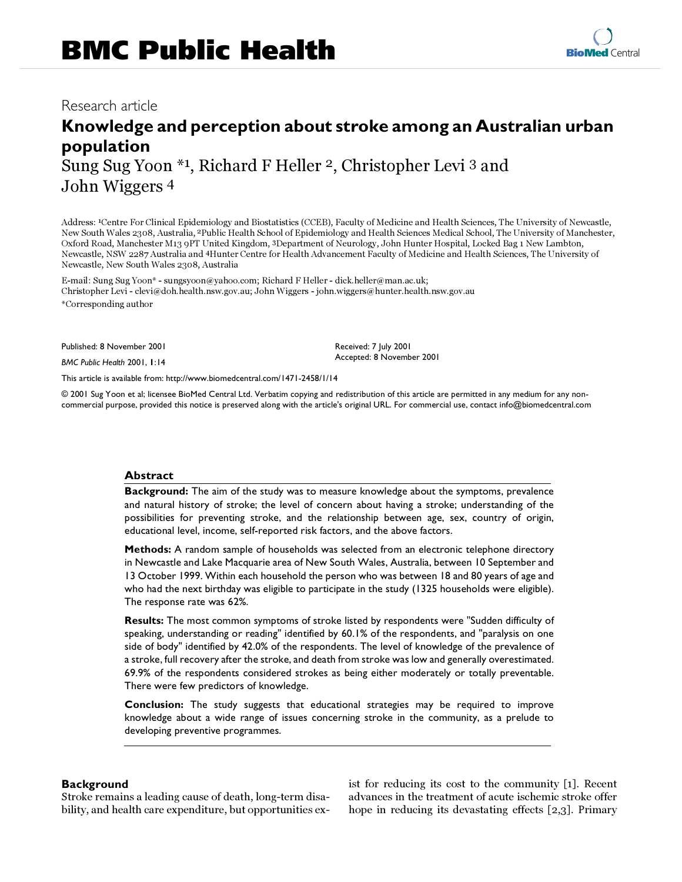## Research article

# **Knowledge and perception about stroke among an Australian urban population** Sung Sug Yoon \*1, Richard F Heller 2, Christopher Levi 3 and

John Wiggers 4

Address: 1Centre For Clinical Epidemiology and Biostatistics (CCEB), Faculty of Medicine and Health Sciences, The University of Newcastle, New South Wales 2308, Australia, 2Public Health School of Epidemiology and Health Sciences Medical School, The University of Manchester, Oxford Road, Manchester M13 9PT United Kingdom, 3Department of Neurology, John Hunter Hospital, Locked Bag 1 New Lambton, Newcastle, NSW 2287 Australia and 4Hunter Centre for Health Advancement Faculty of Medicine and Health Sciences, The University of Newcastle, New South Wales 2308, Australia

> Received: 7 July 2001 Accepted: 8 November 2001

E-mail: Sung Sug Yoon\* - sungsyoon@yahoo.com; Richard F Heller - dick.heller@man.ac.uk; Christopher Levi - clevi@doh.health.nsw.gov.au; John Wiggers - john.wiggers@hunter.health.nsw.gov.au \*Corresponding author

Published: 8 November 2001

*BMC Public Health* 2001, **1**:14

[This article is available from: http://www.biomedcentral.com/1471-2458/1/14](http://www.biomedcentral.com/1471-2458/1/14)

© 2001 Sug Yoon et al; licensee BioMed Central Ltd. Verbatim copying and redistribution of this article are permitted in any medium for any noncommercial purpose, provided this notice is preserved along with the article's original URL. For commercial use, contact info@biomedcentral.com

### **Abstract**

**Background:** The aim of the study was to measure knowledge about the symptoms, prevalence and natural history of stroke; the level of concern about having a stroke; understanding of the possibilities for preventing stroke, and the relationship between age, sex, country of origin, educational level, income, self-reported risk factors, and the above factors.

**Methods:** A random sample of households was selected from an electronic telephone directory in Newcastle and Lake Macquarie area of New South Wales, Australia, between 10 September and 13 October 1999. Within each household the person who was between 18 and 80 years of age and who had the next birthday was eligible to participate in the study (1325 households were eligible). The response rate was 62%.

**Results:** The most common symptoms of stroke listed by respondents were "Sudden difficulty of speaking, understanding or reading" identified by 60.1% of the respondents, and "paralysis on one side of body" identified by 42.0% of the respondents. The level of knowledge of the prevalence of a stroke, full recovery after the stroke, and death from stroke was low and generally overestimated. 69.9% of the respondents considered strokes as being either moderately or totally preventable. There were few predictors of knowledge.

**Conclusion:** The study suggests that educational strategies may be required to improve knowledge about a wide range of issues concerning stroke in the community, as a prelude to developing preventive programmes.

### **Background**

Stroke remains a leading cause of death, long-term disability, and health care expenditure, but opportunities exist for reducing its cost to the community [[1](#page-5-0)]. Recent advances in the treatment of acute ischemic stroke offer hope in reducing its devastating effects [\[2,](#page-5-1)[3](#page-5-2)]. Primary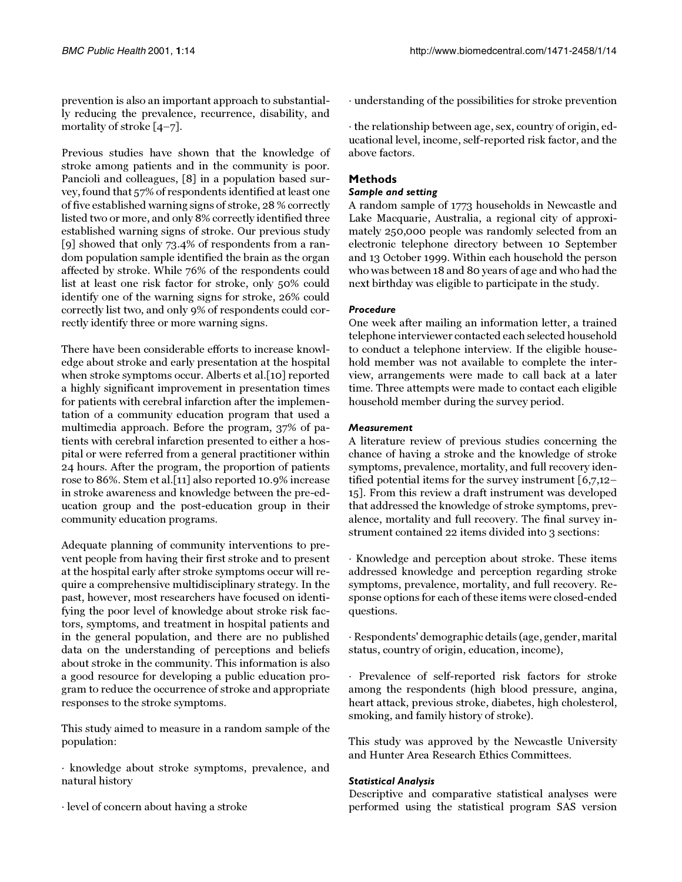prevention is also an important approach to substantially reducing the prevalence, recurrence, disability, and mortality of stroke [[4](#page-5-3)–[7](#page-5-4)].

Previous studies have shown that the knowledge of stroke among patients and in the community is poor. Pancioli and colleagues, [\[8\]](#page-5-5) in a population based survey, found that 57% of respondents identified at least one of five established warning signs of stroke, 28 % correctly listed two or more, and only 8% correctly identified three established warning signs of stroke. Our previous study [[9](#page-5-6)] showed that only 73.4% of respondents from a random population sample identified the brain as the organ affected by stroke. While 76% of the respondents could list at least one risk factor for stroke, only 50% could identify one of the warning signs for stroke, 26% could correctly list two, and only 9% of respondents could correctly identify three or more warning signs.

There have been considerable efforts to increase knowledge about stroke and early presentation at the hospital when stroke symptoms occur. Alberts et al.[[10](#page-5-7)] reported a highly significant improvement in presentation times for patients with cerebral infarction after the implementation of a community education program that used a multimedia approach. Before the program, 37% of patients with cerebral infarction presented to either a hospital or were referred from a general practitioner within 24 hours. After the program, the proportion of patients rose to 86%. Stem et al.[\[11\]](#page-5-8) also reported 10.9% increase in stroke awareness and knowledge between the pre-education group and the post-education group in their community education programs.

Adequate planning of community interventions to prevent people from having their first stroke and to present at the hospital early after stroke symptoms occur will require a comprehensive multidisciplinary strategy. In the past, however, most researchers have focused on identifying the poor level of knowledge about stroke risk factors, symptoms, and treatment in hospital patients and in the general population, and there are no published data on the understanding of perceptions and beliefs about stroke in the community. This information is also a good resource for developing a public education program to reduce the occurrence of stroke and appropriate responses to the stroke symptoms.

This study aimed to measure in a random sample of the population:

· knowledge about stroke symptoms, prevalence, and natural history

· level of concern about having a stroke

· understanding of the possibilities for stroke prevention

· the relationship between age, sex, country of origin, educational level, income, self-reported risk factor, and the above factors.

## **Methods**

### *Sample and setting*

A random sample of 1773 households in Newcastle and Lake Macquarie, Australia, a regional city of approximately 250,000 people was randomly selected from an electronic telephone directory between 10 September and 13 October 1999. Within each household the person who was between 18 and 80 years of age and who had the next birthday was eligible to participate in the study.

#### *Procedure*

One week after mailing an information letter, a trained telephone interviewer contacted each selected household to conduct a telephone interview. If the eligible household member was not available to complete the interview, arrangements were made to call back at a later time. Three attempts were made to contact each eligible household member during the survey period.

#### *Measurement*

A literature review of previous studies concerning the chance of having a stroke and the knowledge of stroke symptoms, prevalence, mortality, and full recovery identified potential items for the survey instrument [\[6](#page-5-9),[7](#page-5-4)[,12](#page-5-10)[–](#page-5-11) [15](#page-5-11)]. From this review a draft instrument was developed that addressed the knowledge of stroke symptoms, prevalence, mortality and full recovery. The final survey instrument contained 22 items divided into 3 sections:

· Knowledge and perception about stroke. These items addressed knowledge and perception regarding stroke symptoms, prevalence, mortality, and full recovery. Response options for each of these items were closed-ended questions.

· Respondents' demographic details (age, gender, marital status, country of origin, education, income),

· Prevalence of self-reported risk factors for stroke among the respondents (high blood pressure, angina, heart attack, previous stroke, diabetes, high cholesterol, smoking, and family history of stroke).

<span id="page-1-0"></span>This study was approved by the Newcastle University and Hunter Area Research Ethics Committees.

### *Statistical Analysis*

Descriptive and comparative statistical analyses were performed using the statistical program SAS version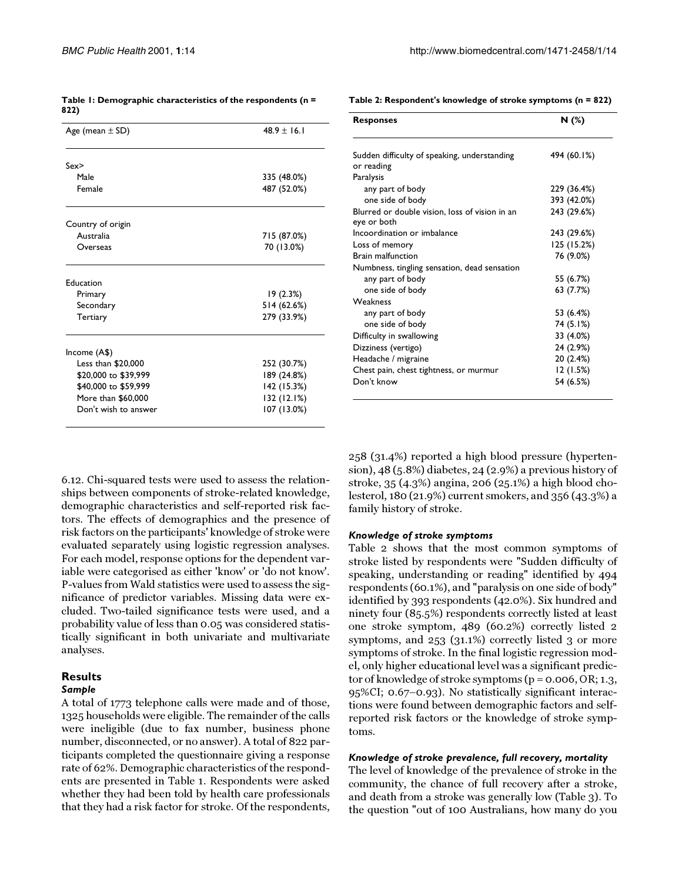| Age (mean $\pm$ SD)            | $48.9 \pm 16.1$            |  |  |
|--------------------------------|----------------------------|--|--|
| Sex                            |                            |  |  |
| Male                           | 335 (48.0%)<br>487 (52.0%) |  |  |
| Female                         |                            |  |  |
|                                |                            |  |  |
| Country of origin<br>Australia |                            |  |  |
|                                | 715 (87.0%)                |  |  |
| Overseas                       | 70 (13.0%)                 |  |  |
| Education                      |                            |  |  |
| Primary                        | 19(2.3%)                   |  |  |
| Secondary                      | 514 (62.6%)                |  |  |
| Tertiary                       | 279 (33.9%)                |  |  |
| Income (A\$)                   |                            |  |  |
| Less than \$20,000             | 252 (30.7%)                |  |  |
| \$20,000 to \$39,999           | 189 (24.8%)                |  |  |
| \$40,000 to \$59,999           | 142 (15.3%)                |  |  |
| More than \$60,000             | 132 (12.1%)                |  |  |
| Don't wish to answer           | 107 (13.0%)                |  |  |

**Table 1: Demographic characteristics of the respondents (n = 822)**

6.12. Chi-squared tests were used to assess the relationships between components of stroke-related knowledge, demographic characteristics and self-reported risk factors. The effects of demographics and the presence of risk factors on the participants' knowledge of stroke were evaluated separately using logistic regression analyses. For each model, response options for the dependent variable were categorised as either 'know' or 'do not know'. P-values from Wald statistics were used to assess the significance of predictor variables. Missing data were excluded. Two-tailed significance tests were used, and a probability value of less than 0.05 was considered statistically significant in both univariate and multivariate analyses.

## **Results**

## <span id="page-2-0"></span>*Sample*

A total of 1773 telephone calls were made and of those, 1325 households were eligible. The remainder of the calls were ineligible (due to fax number, business phone number, disconnected, or no answer). A total of 822 participants completed the questionnaire giving a response rate of 62%. Demographic characteristics of the respondents are presented in Table [1](#page-1-0). Respondents were asked whether they had been told by health care professionals that they had a risk factor for stroke. Of the respondents, **Table 2: Respondent's knowledge of stroke symptoms (n = 822)**

| <b>Responses</b>                                              | N(%)        |  |  |
|---------------------------------------------------------------|-------------|--|--|
| Sudden difficulty of speaking, understanding<br>or reading    | 494 (60.1%) |  |  |
| Paralysis                                                     |             |  |  |
| any part of body                                              | 229 (36.4%) |  |  |
| one side of body                                              | 393 (42.0%) |  |  |
| Blurred or double vision, loss of vision in an<br>eye or both | 243 (29.6%) |  |  |
| Incoordination or imbalance                                   | 243 (29.6%) |  |  |
| Loss of memory                                                | 125 (15.2%) |  |  |
| <b>Brain malfunction</b>                                      | 76 (9.0%)   |  |  |
| Numbness, tingling sensation, dead sensation                  |             |  |  |
| any part of body                                              | 55 (6.7%)   |  |  |
| one side of body                                              | 63 (7.7%)   |  |  |
| Weakness                                                      |             |  |  |
| any part of body                                              | 53 (6.4%)   |  |  |
| one side of body                                              | 74 (5.1%)   |  |  |
| Difficulty in swallowing                                      | 33 (4.0%)   |  |  |
| Dizziness (vertigo)                                           | 24 (2.9%)   |  |  |
| Headache / migraine                                           | 20 (2.4%)   |  |  |
| Chest pain, chest tightness, or murmur                        | 12 (1.5%)   |  |  |
| Don't know                                                    | 54 (6.5%)   |  |  |

258 (31.4%) reported a high blood pressure (hypertension), 48 (5.8%) diabetes, 24 (2.9%) a previous history of stroke, 35 (4.3%) angina, 206 (25.1%) a high blood cholesterol, 180 (21.9%) current smokers, and 356 (43.3%) a family history of stroke.

#### *Knowledge of stroke symptoms*

<span id="page-2-1"></span>Table [2](#page-2-0) shows that the most common symptoms of stroke listed by respondents were "Sudden difficulty of speaking, understanding or reading" identified by 494 respondents (60.1%), and "paralysis on one side of body" identified by 393 respondents (42.0%). Six hundred and ninety four (85.5%) respondents correctly listed at least one stroke symptom, 489 (60.2%) correctly listed 2 symptoms, and 253 (31.1%) correctly listed 3 or more symptoms of stroke. In the final logistic regression model, only higher educational level was a significant predictor of knowledge of stroke symptoms ( $p = 0.006$ , OR; 1.3, 95%CI; 0.67–0.93). No statistically significant interactions were found between demographic factors and selfreported risk factors or the knowledge of stroke symptoms.

#### *Knowledge of stroke prevalence, full recovery, mortality*

The level of knowledge of the prevalence of stroke in the community, the chance of full recovery after a stroke, and death from a stroke was generally low (Table [3](#page-2-1)). To the question "out of 100 Australians, how many do you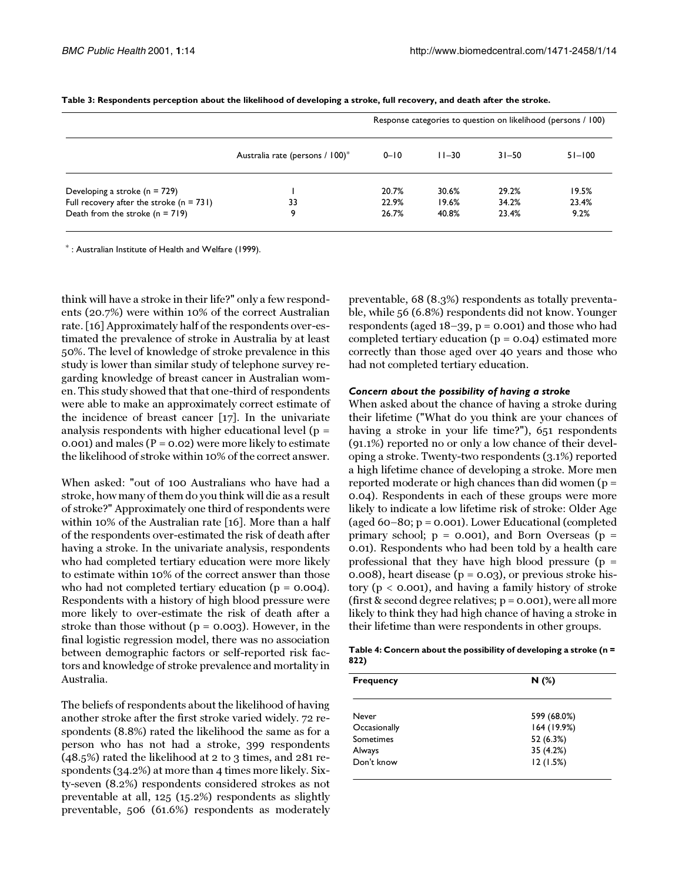|                                            |                                 | Response categories to question on likelihood (persons / 100) |           |           |            |
|--------------------------------------------|---------------------------------|---------------------------------------------------------------|-----------|-----------|------------|
|                                            | Australia rate (persons / 100)* | $0 - 10$                                                      | $11 - 30$ | $31 - 50$ | $51 - 100$ |
| Developing a stroke ( $n = 729$ )          |                                 | 20.7%                                                         | 30.6%     | 29.2%     | 19.5%      |
| Full recovery after the stroke $(n = 731)$ | 33                              | 22.9%                                                         | 19.6%     | 34.2%     | 23.4%      |
| Death from the stroke $(n = 719)$          | 9                               | 26.7%                                                         | 40.8%     | 23.4%     | 9.2%       |

**Table 3: Respondents perception about the likelihood of developing a stroke, full recovery, and death after the stroke.**

\* : Australian Institute of Health and Welfare (1999).

think will have a stroke in their life?" only a few respondents (20.7%) were within 10% of the correct Australian rate. [\[16](#page-5-12)] Approximately half of the respondents over-estimated the prevalence of stroke in Australia by at least 50%. The level of knowledge of stroke prevalence in this study is lower than similar study of telephone survey regarding knowledge of breast cancer in Australian women. This study showed that that one-third of respondents were able to make an approximately correct estimate of the incidence of breast cancer [[17](#page-5-13)]. In the univariate analysis respondents with higher educational level (p = 0.001) and males ( $P = 0.02$ ) were more likely to estimate the likelihood of stroke within 10% of the correct answer.

When asked: "out of 100 Australians who have had a stroke, how many of them do you think will die as a result of stroke?" Approximately one third of respondents were within 10% of the Australian rate [\[16\]](#page-5-12). More than a half of the respondents over-estimated the risk of death after having a stroke. In the univariate analysis, respondents who had completed tertiary education were more likely to estimate within 10% of the correct answer than those who had not completed tertiary education  $(p = 0.004)$ . Respondents with a history of high blood pressure were more likely to over-estimate the risk of death after a stroke than those without ( $p = 0.003$ ). However, in the final logistic regression model, there was no association between demographic factors or self-reported risk factors and knowledge of stroke prevalence and mortality in Australia.

The beliefs of respondents about the likelihood of having another stroke after the first stroke varied widely. 72 respondents (8.8%) rated the likelihood the same as for a person who has not had a stroke, 399 respondents (48.5%) rated the likelihood at 2 to 3 times, and 281 respondents (34.2%) at more than 4 times more likely. Sixty-seven (8.2%) respondents considered strokes as not preventable at all, 125 (15.2%) respondents as slightly preventable, 506 (61.6%) respondents as moderately

preventable, 68 (8.3%) respondents as totally preventable, while 56 (6.8%) respondents did not know. Younger respondents (aged 18–39, p = 0.001) and those who had completed tertiary education  $(p = 0.04)$  estimated more correctly than those aged over 40 years and those who had not completed tertiary education.

#### *Concern about the possibility of having a stroke*

<span id="page-3-0"></span>When asked about the chance of having a stroke during their lifetime ("What do you think are your chances of having a stroke in your life time?"), 651 respondents (91.1%) reported no or only a low chance of their developing a stroke. Twenty-two respondents (3.1%) reported a high lifetime chance of developing a stroke. More men reported moderate or high chances than did women ( $p =$ 0.04). Respondents in each of these groups were more likely to indicate a low lifetime risk of stroke: Older Age (aged 60–80; p = 0.001). Lower Educational (completed primary school;  $p = 0.001$ , and Born Overseas ( $p =$ 0.01). Respondents who had been told by a health care professional that they have high blood pressure ( $p =$ 0.008), heart disease ( $p = 0.03$ ), or previous stroke history (p < 0.001), and having a family history of stroke (first & second degree relatives;  $p = 0.001$ ), were all more likely to think they had high chance of having a stroke in their lifetime than were respondents in other groups.

**Table 4: Concern about the possibility of developing a stroke (n = 822)**

| <b>Frequency</b> | N(%)        |  |  |
|------------------|-------------|--|--|
|                  |             |  |  |
| Never            | 599 (68.0%) |  |  |
| Occasionally     | 164 (19.9%) |  |  |
| Sometimes        | 52 (6.3%)   |  |  |
| Always           | 35(4.2%)    |  |  |
| Don't know       | 12(1.5%)    |  |  |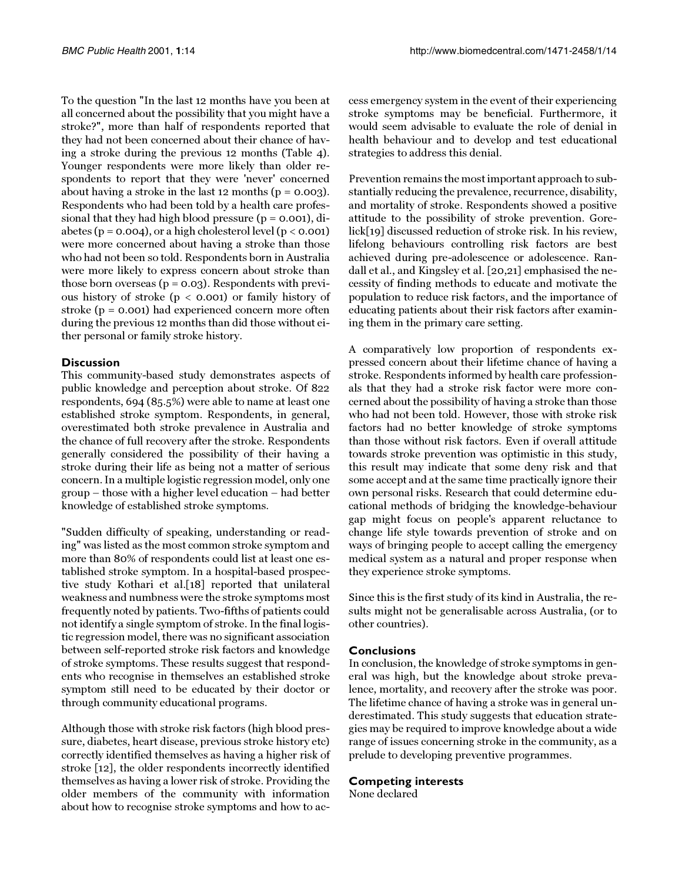To the question "In the last 12 months have you been at all concerned about the possibility that you might have a stroke?", more than half of respondents reported that they had not been concerned about their chance of having a stroke during the previous 12 months (Table [4\)](#page-3-0). Younger respondents were more likely than older respondents to report that they were 'never' concerned about having a stroke in the last 12 months ( $p = 0.003$ ). Respondents who had been told by a health care professional that they had high blood pressure  $(p = 0.001)$ , diabetes ( $p = 0.004$ ), or a high cholesterol level ( $p < 0.001$ ) were more concerned about having a stroke than those who had not been so told. Respondents born in Australia were more likely to express concern about stroke than those born overseas ( $p = 0.03$ ). Respondents with previous history of stroke  $(p < 0.001)$  or family history of stroke (p = 0.001) had experienced concern more often during the previous 12 months than did those without either personal or family stroke history.

## **Discussion**

This community-based study demonstrates aspects of public knowledge and perception about stroke. Of 822 respondents, 694 (85.5%) were able to name at least one established stroke symptom. Respondents, in general, overestimated both stroke prevalence in Australia and the chance of full recovery after the stroke. Respondents generally considered the possibility of their having a stroke during their life as being not a matter of serious concern. In a multiple logistic regression model, only one group – those with a higher level education – had better knowledge of established stroke symptoms.

"Sudden difficulty of speaking, understanding or reading" was listed as the most common stroke symptom and more than 80% of respondents could list at least one established stroke symptom. In a hospital-based prospective study Kothari et al.[\[18](#page-5-14)] reported that unilateral weakness and numbness were the stroke symptoms most frequently noted by patients. Two-fifths of patients could not identify a single symptom of stroke. In the final logistic regression model, there was no significant association between self-reported stroke risk factors and knowledge of stroke symptoms. These results suggest that respondents who recognise in themselves an established stroke symptom still need to be educated by their doctor or through community educational programs.

Although those with stroke risk factors (high blood pressure, diabetes, heart disease, previous stroke history etc) correctly identified themselves as having a higher risk of stroke [[12](#page-5-10)], the older respondents incorrectly identified themselves as having a lower risk of stroke. Providing the older members of the community with information about how to recognise stroke symptoms and how to access emergency system in the event of their experiencing stroke symptoms may be beneficial. Furthermore, it would seem advisable to evaluate the role of denial in health behaviour and to develop and test educational strategies to address this denial.

Prevention remains the most important approach to substantially reducing the prevalence, recurrence, disability, and mortality of stroke. Respondents showed a positive attitude to the possibility of stroke prevention. Gorelick[\[19\]](#page-5-15) discussed reduction of stroke risk. In his review, lifelong behaviours controlling risk factors are best achieved during pre-adolescence or adolescence. Randall et al., and Kingsley et al. [\[20,](#page-5-16)[21\]](#page-5-17) emphasised the necessity of finding methods to educate and motivate the population to reduce risk factors, and the importance of educating patients about their risk factors after examining them in the primary care setting.

A comparatively low proportion of respondents expressed concern about their lifetime chance of having a stroke. Respondents informed by health care professionals that they had a stroke risk factor were more concerned about the possibility of having a stroke than those who had not been told. However, those with stroke risk factors had no better knowledge of stroke symptoms than those without risk factors. Even if overall attitude towards stroke prevention was optimistic in this study, this result may indicate that some deny risk and that some accept and at the same time practically ignore their own personal risks. Research that could determine educational methods of bridging the knowledge-behaviour gap might focus on people's apparent reluctance to change life style towards prevention of stroke and on ways of bringing people to accept calling the emergency medical system as a natural and proper response when they experience stroke symptoms.

Since this is the first study of its kind in Australia, the results might not be generalisable across Australia, (or to other countries).

### **Conclusions**

In conclusion, the knowledge of stroke symptoms in general was high, but the knowledge about stroke prevalence, mortality, and recovery after the stroke was poor. The lifetime chance of having a stroke was in general underestimated. This study suggests that education strategies may be required to improve knowledge about a wide range of issues concerning stroke in the community, as a prelude to developing preventive programmes.

### **Competing interests**

None declared